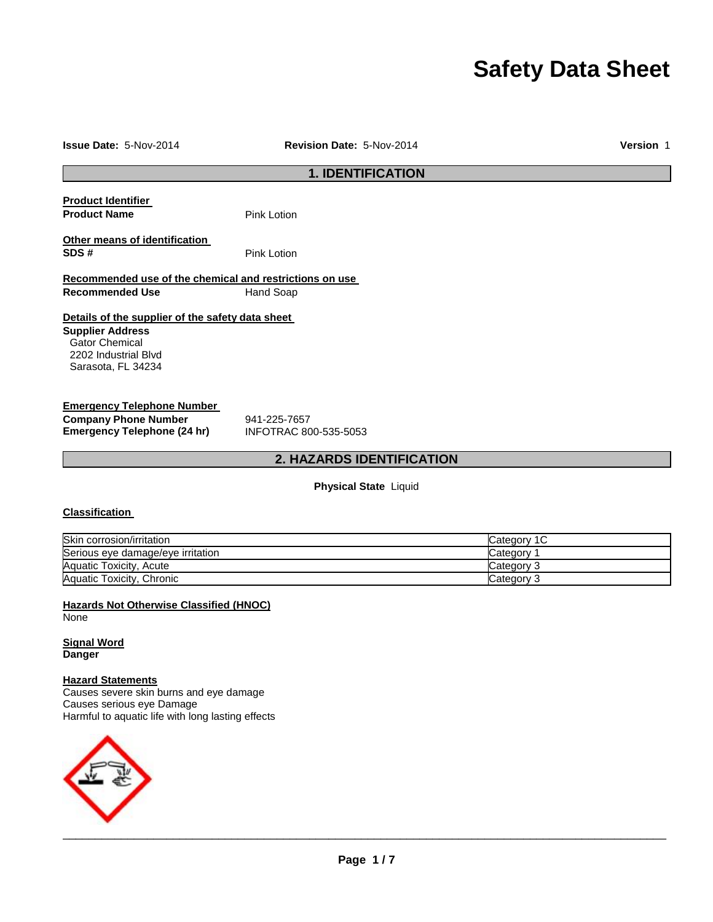# **Safety Data Sheet**

#### **Issue Date:** 5-Nov-2014 **Revision Date:** 5-Nov-2014 **Version** 1

## **1. IDENTIFICATION**

| <b>Product Identifier</b>     |  |
|-------------------------------|--|
| <b>Product Name</b>           |  |
| Othar maana af idantifiaation |  |

**Pink Lotion** 

**Other means of identification SDS #** Pink Lotion

#### **Recommended use of the chemical and restrictions on use Recommended Use 6 Hand Soap**

### **Details of the supplier of the safety data sheet**

**Supplier Address** Gator Chemical 2202 Industrial Blvd Sarasota, FL 34234

#### **Emergency Telephone Number**

**Company Phone Number** 941-225-7657<br> **Emergency Telephone (24 hr)** INFOTRAC 800-535-5053 **Emergency Telephone (24 hr)** 

### **2. HAZARDS IDENTIFICATION**

**Physical State** Liquid

### **Classification**

| Skin corrosion/irritation         | Category 1 C |
|-----------------------------------|--------------|
| Serious eye damage/eye irritation | Category     |
| Aquatic Toxicity, Acute           | Category 3   |
| Aquatic Toxicity, Chronic         | Category 3   |

**Hazards Not Otherwise Classified (HNOC)** None

**Signal Word Danger** 

#### **Hazard Statements**

Causes severe skin burns and eye damage Causes serious eye Damage Harmful to aquatic life with long lasting effects

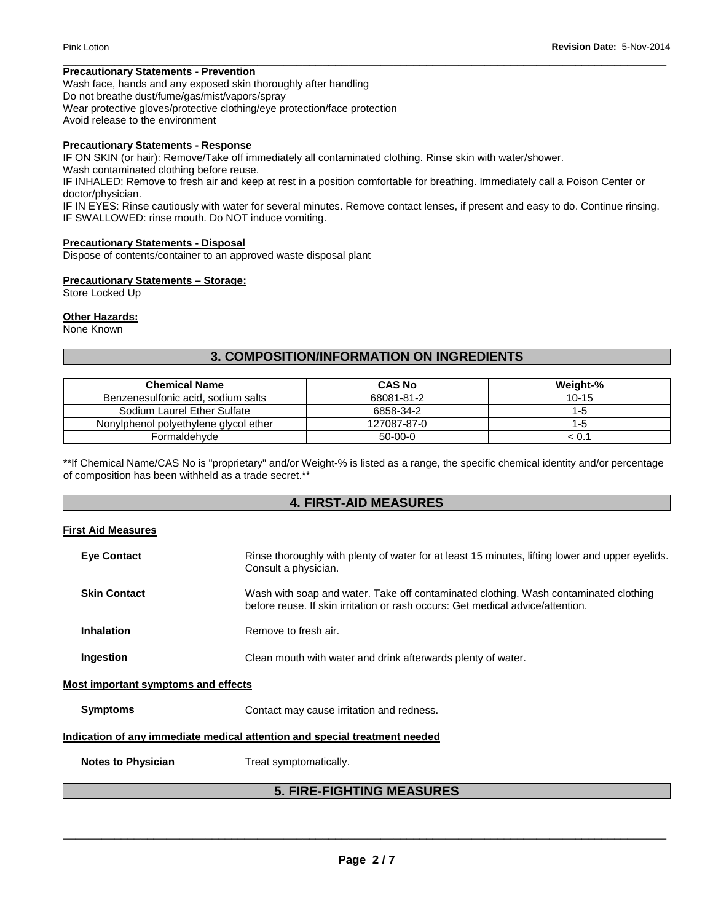### **Precautionary Statements - Prevention**

Wash face, hands and any exposed skin thoroughly after handling Do not breathe dust/fume/gas/mist/vapors/spray Wear protective gloves/protective clothing/eye protection/face protection Avoid release to the environment

#### **Precautionary Statements - Response**

IF ON SKIN (or hair): Remove/Take off immediately all contaminated clothing. Rinse skin with water/shower.

Wash contaminated clothing before reuse.

IF INHALED: Remove to fresh air and keep at rest in a position comfortable for breathing. Immediately call a Poison Center or doctor/physician.

IF IN EYES: Rinse cautiously with water for several minutes. Remove contact lenses, if present and easy to do. Continue rinsing. IF SWALLOWED: rinse mouth. Do NOT induce vomiting.

\_\_\_\_\_\_\_\_\_\_\_\_\_\_\_\_\_\_\_\_\_\_\_\_\_\_\_\_\_\_\_\_\_\_\_\_\_\_\_\_\_\_\_\_\_\_\_\_\_\_\_\_\_\_\_\_\_\_\_\_\_\_\_\_\_\_\_\_\_\_\_\_\_\_\_\_\_\_\_\_\_\_\_\_\_\_\_\_\_\_\_\_\_

#### **Precautionary Statements - Disposal**

Dispose of contents/container to an approved waste disposal plant

#### **Precautionary Statements – Storage:**

Store Locked Up

#### **Other Hazards:**

None Known

### **3. COMPOSITION/INFORMATION ON INGREDIENTS**

| <b>Chemical Name</b>                  | <b>CAS No</b> | Weight-% |
|---------------------------------------|---------------|----------|
| Benzenesulfonic acid, sodium salts    | 68081-81-2    | $10-15$  |
| Sodium Laurel Ether Sulfate           | 6858-34-2     | 1-5      |
| Nonylphenol polyethylene glycol ether | 127087-87-0   | 1-5      |
| Formaldehyde                          | $50-00-0$     | < 0.1    |

\*\*If Chemical Name/CAS No is "proprietary" and/or Weight-% is listed as a range, the specific chemical identity and/or percentage of composition has been withheld as a trade secret.\*\*

### **4. FIRST-AID MEASURES**

#### **First Aid Measures**

| <b>Eve Contact</b>                  | Rinse thoroughly with plenty of water for at least 15 minutes, lifting lower and upper eyelids.<br>Consult a physician.                                                |
|-------------------------------------|------------------------------------------------------------------------------------------------------------------------------------------------------------------------|
| <b>Skin Contact</b>                 | Wash with soap and water. Take off contaminated clothing. Wash contaminated clothing<br>before reuse. If skin irritation or rash occurs: Get medical advice/attention. |
| Inhalation                          | Remove to fresh air.                                                                                                                                                   |
| Ingestion                           | Clean mouth with water and drink afterwards plenty of water.                                                                                                           |
| Most important symptoms and effects |                                                                                                                                                                        |
| <b>Symptoms</b>                     | Contact may cause irritation and redness.                                                                                                                              |
|                                     | Indication of any immediate medical attention and special treatment needed                                                                                             |

**Notes to Physician**  Treat symptomatically.

## **5. FIRE-FIGHTING MEASURES**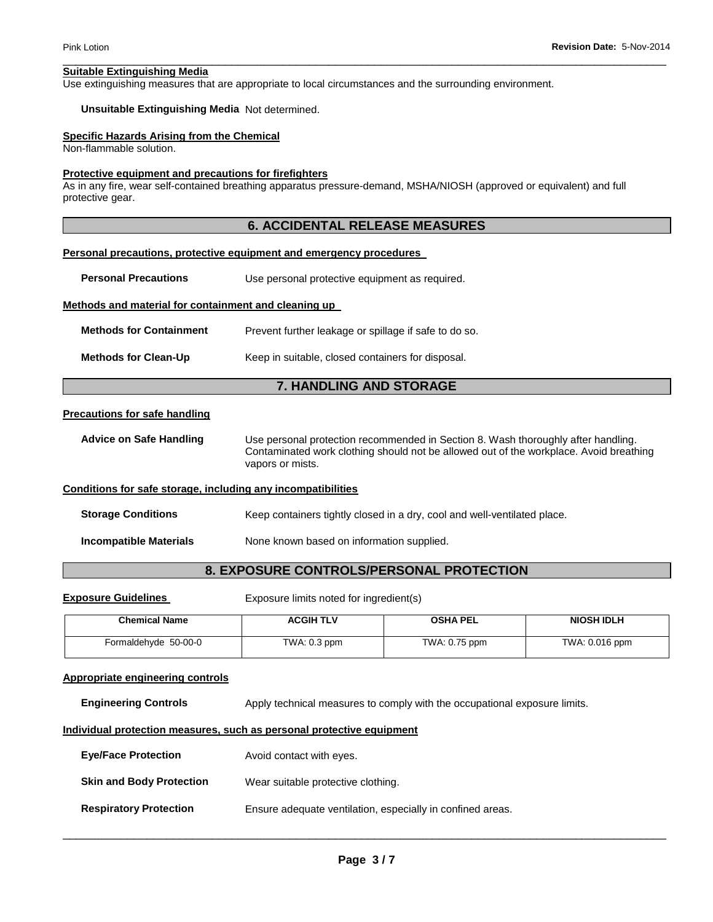#### **Suitable Extinguishing Media**

Use extinguishing measures that are appropriate to local circumstances and the surrounding environment.

### **Unsuitable Extinguishing Media** Not determined.

#### **Specific Hazards Arising from the Chemical**

Non-flammable solution.

#### **Protective equipment and precautions for firefighters**

As in any fire, wear self-contained breathing apparatus pressure-demand, MSHA/NIOSH (approved or equivalent) and full protective gear.

### **6. ACCIDENTAL RELEASE MEASURES**

\_\_\_\_\_\_\_\_\_\_\_\_\_\_\_\_\_\_\_\_\_\_\_\_\_\_\_\_\_\_\_\_\_\_\_\_\_\_\_\_\_\_\_\_\_\_\_\_\_\_\_\_\_\_\_\_\_\_\_\_\_\_\_\_\_\_\_\_\_\_\_\_\_\_\_\_\_\_\_\_\_\_\_\_\_\_\_\_\_\_\_\_\_

#### **Personal precautions, protective equipment and emergency procedures**

**Personal Precautions Use personal protective equipment as required.** 

#### **Methods and material for containment and cleaning up**

| <b>Methods for Containment</b> | Prevent further leakage or spillage if safe to do so. |
|--------------------------------|-------------------------------------------------------|
|                                |                                                       |

### **Methods for Clean-Up Keep in suitable, closed containers for disposal.**

### **7. HANDLING AND STORAGE**

#### **Precautions for safe handling**

**Advice on Safe Handling** Use personal protection recommended in Section 8. Wash thoroughly after handling. Contaminated work clothing should not be allowed out of the workplace. Avoid breathing vapors or mists.

#### **Conditions for safe storage, including any incompatibilities**

**Storage Conditions Keep containers tightly closed in a dry, cool and well-ventilated place.** 

**Incompatible Materials None known based on information supplied.** 

### **8. EXPOSURE CONTROLS/PERSONAL PROTECTION**

**Exposure Guidelines Exposure limits noted for ingredient(s)** 

| <b>Chemical Name</b> | <b>ACGIH TLV</b> | <b>OSHA PEL</b> | <b>NIOSH IDLH</b> |
|----------------------|------------------|-----------------|-------------------|
| Formaldehyde 50-00-0 | $TWA: 0.3$ ppm   | TWA: 0.75 ppm   | TWA: 0.016 ppm    |

#### **Appropriate engineering controls**

**Engineering Controls** Apply technical measures to comply with the occupational exposure limits.

#### **Individual protection measures, such as personal protective equipment**

| <b>Eve/Face Protection</b>      | Avoid contact with eyes.                                   |
|---------------------------------|------------------------------------------------------------|
| <b>Skin and Body Protection</b> | Wear suitable protective clothing.                         |
| <b>Respiratory Protection</b>   | Ensure adequate ventilation, especially in confined areas. |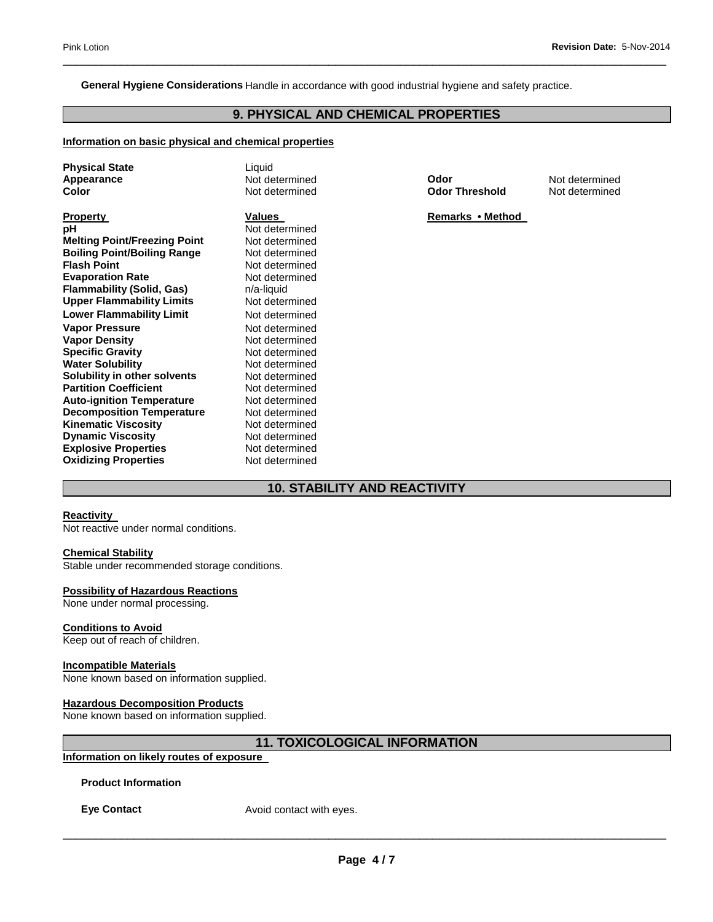#### **General Hygiene Considerations** Handle in accordance with good industrial hygiene and safety practice.

### **9. PHYSICAL AND CHEMICAL PROPERTIES**

\_\_\_\_\_\_\_\_\_\_\_\_\_\_\_\_\_\_\_\_\_\_\_\_\_\_\_\_\_\_\_\_\_\_\_\_\_\_\_\_\_\_\_\_\_\_\_\_\_\_\_\_\_\_\_\_\_\_\_\_\_\_\_\_\_\_\_\_\_\_\_\_\_\_\_\_\_\_\_\_\_\_\_\_\_\_\_\_\_\_\_\_\_

#### **Information on basic physical and chemical properties**

| <b>Physical State</b>               | Liquid         |
|-------------------------------------|----------------|
| Appearance                          | Not determined |
| Color                               | Not determined |
| <b>Property</b>                     | <b>Values</b>  |
| рH                                  | Not determined |
| <b>Melting Point/Freezing Point</b> | Not determined |
| <b>Boiling Point/Boiling Range</b>  | Not determined |
| <b>Flash Point</b>                  | Not determined |
| <b>Evaporation Rate</b>             | Not determined |
| <b>Flammability (Solid, Gas)</b>    | n/a-liquid     |
| <b>Upper Flammability Limits</b>    | Not determined |
| <b>Lower Flammability Limit</b>     | Not determined |
| <b>Vapor Pressure</b>               | Not determined |
| <b>Vapor Density</b>                | Not determined |
| <b>Specific Gravity</b>             | Not determined |
| <b>Water Solubility</b>             | Not determined |
| Solubility in other solvents        | Not determined |
| <b>Partition Coefficient</b>        | Not determined |
| <b>Auto-ignition Temperature</b>    | Not determined |
| <b>Decomposition Temperature</b>    | Not determined |
| <b>Kinematic Viscosity</b>          | Not determined |
| <b>Dynamic Viscosity</b>            | Not determined |
| <b>Explosive Properties</b>         | Not determined |
| <b>Oxidizing Properties</b>         | Not determined |

**Appearance** Not determined **Odor** Not determined **Color** Not determined **Odor Threshold** Not determined

**Remarks • Method** 

### **10. STABILITY AND REACTIVITY**

#### **Reactivity**

Not reactive under normal conditions.

#### **Chemical Stability**

Stable under recommended storage conditions.

#### **Possibility of Hazardous Reactions**

None under normal processing.

#### **Conditions to Avoid**

Keep out of reach of children.

#### **Incompatible Materials**

None known based on information supplied.

#### **Hazardous Decomposition Products**

None known based on information supplied.

### **11. TOXICOLOGICAL INFORMATION**

### **Information on likely routes of exposure**

**Product Information** 

**Eye Contact Avoid contact with eyes.**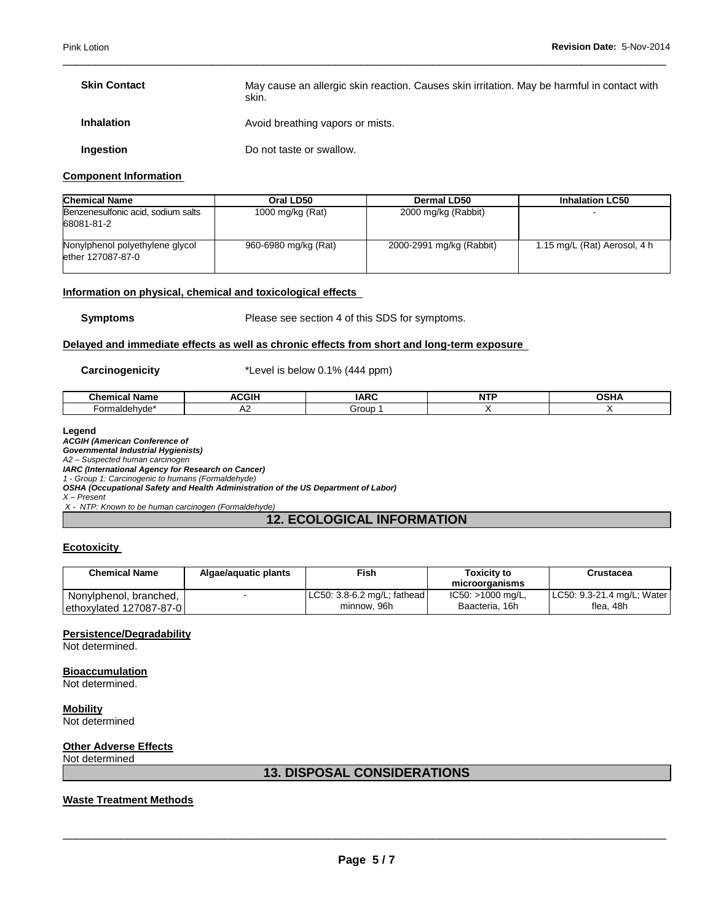| <b>Skin Contact</b> | May cause an allergic skin reaction. Causes skin irritation. May be harmful in contact with<br>skin. |
|---------------------|------------------------------------------------------------------------------------------------------|
| <b>Inhalation</b>   | Avoid breathing vapors or mists.                                                                     |
| Ingestion           | Do not taste or swallow.                                                                             |

\_\_\_\_\_\_\_\_\_\_\_\_\_\_\_\_\_\_\_\_\_\_\_\_\_\_\_\_\_\_\_\_\_\_\_\_\_\_\_\_\_\_\_\_\_\_\_\_\_\_\_\_\_\_\_\_\_\_\_\_\_\_\_\_\_\_\_\_\_\_\_\_\_\_\_\_\_\_\_\_\_\_\_\_\_\_\_\_\_\_\_\_\_

#### **Component Information**

| <b>Chemical Name</b>                                 | Oral LD50            | Dermal LD50              | <b>Inhalation LC50</b>       |
|------------------------------------------------------|----------------------|--------------------------|------------------------------|
| Benzenesulfonic acid, sodium salts<br>68081-81-2     | 1000 mg/kg (Rat)     | 2000 mg/kg (Rabbit)      |                              |
| Nonylphenol polyethylene glycol<br>ether 127087-87-0 | 960-6980 mg/kg (Rat) | 2000-2991 mg/kg (Rabbit) | 1.15 mg/L (Rat) Aerosol, 4 h |

#### **Information on physical, chemical and toxicological effects**

**Symptoms** Please see section 4 of this SDS for symptoms.

#### **Delayed and immediate effects as well as chronic effects from short and long-term exposure**

**Carcinogenicity** \*Level is below 0.1% (444 ppm)

| ำพลหา<br>$\blacksquare$ Nomed<br>ише | $- \cdot$<br>.<br>A.<br>эIJ | $\sim$ $\sim$ $\sim$<br>A | .<br>N |  |
|--------------------------------------|-----------------------------|---------------------------|--------|--|
|                                      | ∼                           | Grour                     |        |  |

#### **Legend**

*ACGIH (American Conference of* 

*Governmental Industrial Hygienists)* 

*A2 – Suspected human carcinogen*

*IARC (International Agency for Research on Cancer) 1 - Group 1: Carcinogenic to humans (Formaldehyde)*

*OSHA (Occupational Safety and Health Administration of the US Department of Labor)* 

*X – Present* 

*X - NTP: Known to be human carcinogen (Formaldehyde)* 

### **12. ECOLOGICAL INFORMATION**

#### **Ecotoxicity**

| <b>Chemical Name</b>    | Algae/aguatic plants | Fish                            | Toxicitv to<br>microorganisms | Crustacea                  |
|-------------------------|----------------------|---------------------------------|-------------------------------|----------------------------|
| Nonylphenol, branched,  |                      | $ $ LC50: 3.8-6.2 mg/L; fathead | IC50: >1000 mg/L,             | LC50: 9.3-21.4 mg/L; Water |
| ethoxylated 127087-87-0 |                      | minnow, 96h                     | Baacteria, 16h                | flea. 48h                  |

#### **Persistence/Degradability**

Not determined.

**Bioaccumulation**

Not determined.

**Mobility** Not determined

### **Other Adverse Effects**

Not determined

#### **13. DISPOSAL CONSIDERATIONS**

### **Waste Treatment Methods**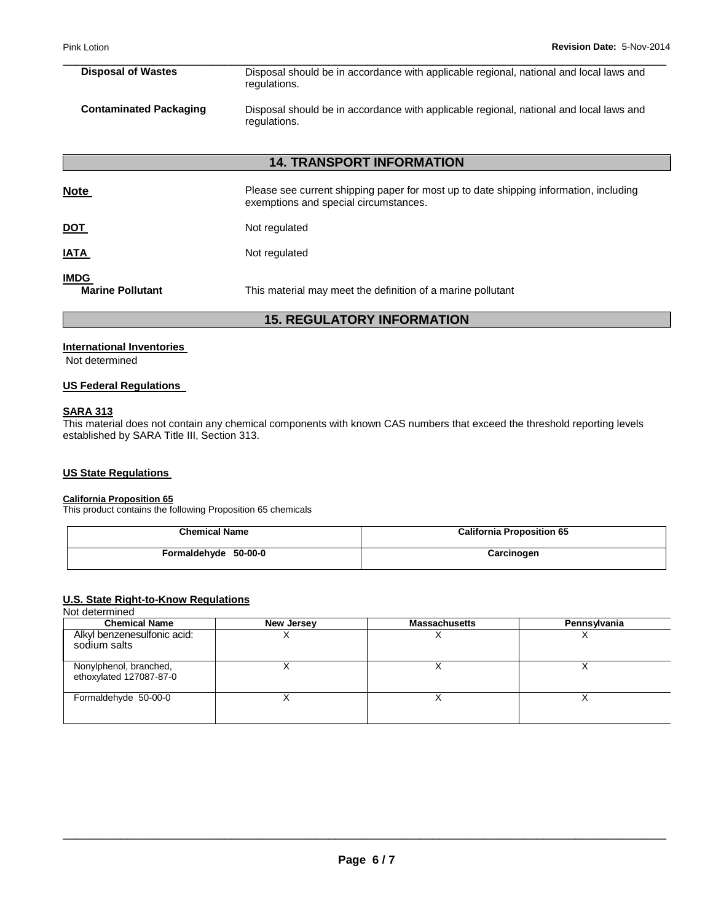| <b>Disposal of Wastes</b>     | Disposal should be in accordance with applicable regional, national and local laws and<br>regulations. |
|-------------------------------|--------------------------------------------------------------------------------------------------------|
| <b>Contaminated Packaging</b> | Disposal should be in accordance with applicable regional, national and local laws and<br>regulations. |

\_\_\_\_\_\_\_\_\_\_\_\_\_\_\_\_\_\_\_\_\_\_\_\_\_\_\_\_\_\_\_\_\_\_\_\_\_\_\_\_\_\_\_\_\_\_\_\_\_\_\_\_\_\_\_\_\_\_\_\_\_\_\_\_\_\_\_\_\_\_\_\_\_\_\_\_\_\_\_\_\_\_\_\_\_\_\_\_\_\_\_\_\_

### **14. TRANSPORT INFORMATION**

| <b>Note</b>                            | Please see current shipping paper for most up to date shipping information, including<br>exemptions and special circumstances. |
|----------------------------------------|--------------------------------------------------------------------------------------------------------------------------------|
| <u>DOT</u>                             | Not regulated                                                                                                                  |
| <u>IATA</u>                            | Not regulated                                                                                                                  |
| <b>IMDG</b><br><b>Marine Pollutant</b> | This material may meet the definition of a marine pollutant                                                                    |

### **15. REGULATORY INFORMATION**

#### **International Inventories**

Not determined

#### **US Federal Regulations**

#### **SARA 313**

This material does not contain any chemical components with known CAS numbers that exceed the threshold reporting levels established by SARA Title III, Section 313.

### **US State Regulations**

#### **California Proposition 65**

This product contains the following Proposition 65 chemicals

| <b>Chemical Name</b> | <b>California Proposition 65</b> |  |
|----------------------|----------------------------------|--|
| Formaldehyde 50-00-0 | Carcinogen                       |  |

### **U.S. State Right-to-Know Regulations**

#### Not determined

| <b>Chemical Name</b>                              | <b>New Jersey</b> | <b>Massachusetts</b> | Pennsylvania |
|---------------------------------------------------|-------------------|----------------------|--------------|
| Alkyl benzenesulfonic acid:<br>sodium salts       |                   |                      |              |
| Nonylphenol, branched,<br>ethoxylated 127087-87-0 |                   |                      |              |
| Formaldehyde 50-00-0                              |                   |                      |              |